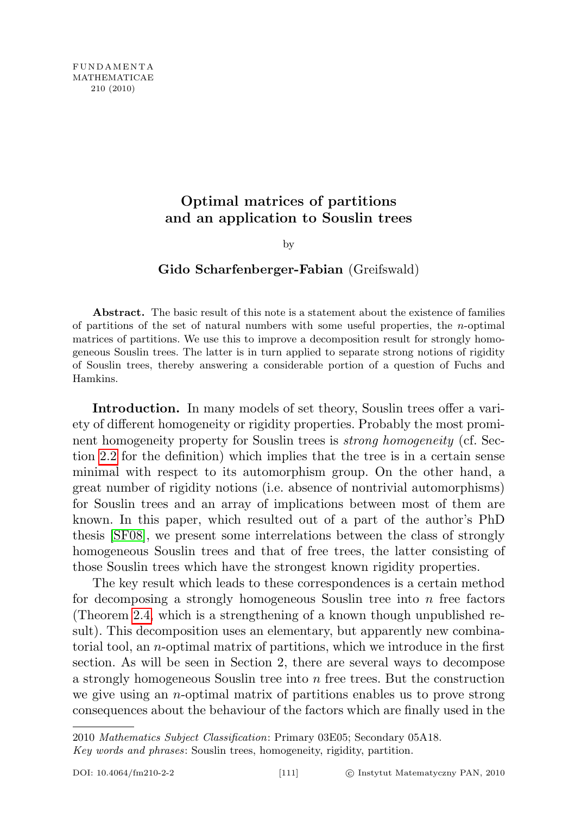## Optimal matrices of partitions and an application to Souslin trees

by

## Gido Scharfenberger-Fabian (Greifswald)

Abstract. The basic result of this note is a statement about the existence of families of partitions of the set of natural numbers with some useful properties, the  $n$ -optimal matrices of partitions. We use this to improve a decomposition result for strongly homogeneous Souslin trees. The latter is in turn applied to separate strong notions of rigidity of Souslin trees, thereby answering a considerable portion of a question of Fuchs and Hamkins.

Introduction. In many models of set theory, Souslin trees offer a variety of different homogeneity or rigidity properties. Probably the most prominent homogeneity property for Souslin trees is *strong homogeneity* (cf. Section [2.2](#page-6-0) for the definition) which implies that the tree is in a certain sense minimal with respect to its automorphism group. On the other hand, a great number of rigidity notions (i.e. absence of nontrivial automorphisms) for Souslin trees and an array of implications between most of them are known. In this paper, which resulted out of a part of the author's PhD thesis [\[SF08\]](#page-20-0), we present some interrelations between the class of strongly homogeneous Souslin trees and that of free trees, the latter consisting of those Souslin trees which have the strongest known rigidity properties.

The key result which leads to these correspondences is a certain method for decomposing a strongly homogeneous Souslin tree into  $n$  free factors (Theorem [2.4,](#page-8-0) which is a strengthening of a known though unpublished result). This decomposition uses an elementary, but apparently new combinatorial tool, an n-optimal matrix of partitions, which we introduce in the first section. As will be seen in Section 2, there are several ways to decompose a strongly homogeneous Souslin tree into n free trees. But the construction we give using an n-optimal matrix of partitions enables us to prove strong consequences about the behaviour of the factors which are finally used in the

<sup>2010</sup> Mathematics Subject Classification: Primary 03E05; Secondary 05A18.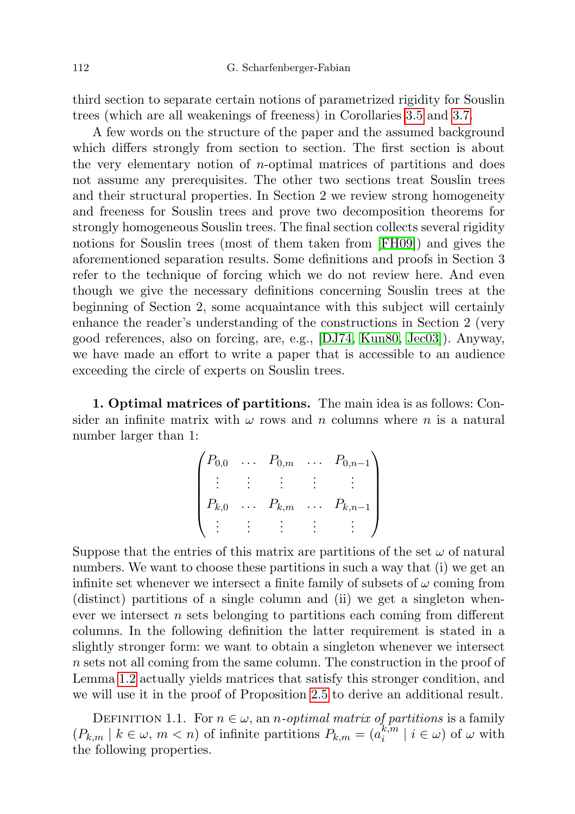third section to separate certain notions of parametrized rigidity for Souslin trees (which are all weakenings of freeness) in Corollaries [3.5](#page-16-0) and [3.7.](#page-17-0)

A few words on the structure of the paper and the assumed background which differs strongly from section to section. The first section is about the very elementary notion of  $n$ -optimal matrices of partitions and does not assume any prerequisites. The other two sections treat Souslin trees and their structural properties. In Section 2 we review strong homogeneity and freeness for Souslin trees and prove two decomposition theorems for strongly homogeneous Souslin trees. The final section collects several rigidity notions for Souslin trees (most of them taken from [\[FH09\]](#page-20-1)) and gives the aforementioned separation results. Some definitions and proofs in Section 3 refer to the technique of forcing which we do not review here. And even though we give the necessary definitions concerning Souslin trees at the beginning of Section 2, some acquaintance with this subject will certainly enhance the reader's understanding of the constructions in Section 2 (very good references, also on forcing, are, e.g., [\[DJ74,](#page-20-2) [Kun80,](#page-20-3) [Jec03\]](#page-20-4)). Anyway, we have made an effort to write a paper that is accessible to an audience exceeding the circle of experts on Souslin trees.

1. Optimal matrices of partitions. The main idea is as follows: Consider an infinite matrix with  $\omega$  rows and n columns where n is a natural number larger than 1:

$$
\begin{pmatrix} P_{0,0} & \dots & P_{0,m} & \dots & P_{0,n-1} \\ \vdots & \vdots & \vdots & \vdots & \vdots \\ P_{k,0} & \dots & P_{k,m} & \dots & P_{k,n-1} \\ \vdots & \vdots & \vdots & \vdots & \vdots \end{pmatrix}
$$

Suppose that the entries of this matrix are partitions of the set  $\omega$  of natural numbers. We want to choose these partitions in such a way that (i) we get an infinite set whenever we intersect a finite family of subsets of  $\omega$  coming from (distinct) partitions of a single column and (ii) we get a singleton whenever we intersect  $n$  sets belonging to partitions each coming from different columns. In the following definition the latter requirement is stated in a slightly stronger form: we want to obtain a singleton whenever we intersect n sets not all coming from the same column. The construction in the proof of Lemma [1.2](#page-2-0) actually yields matrices that satisfy this stronger condition, and we will use it in the proof of Proposition [2.5](#page-11-0) to derive an additional result.

<span id="page-1-0"></span>DEFINITION 1.1. For  $n \in \omega$ , an *n*-optimal matrix of partitions is a family  $(P_{k,m} \mid k \in \omega, m < n)$  of infinite partitions  $P_{k,m} = (a_k^{k,m})$  $\binom{k,m}{i}$  |  $i \in \omega$ ) of  $\omega$  with the following properties.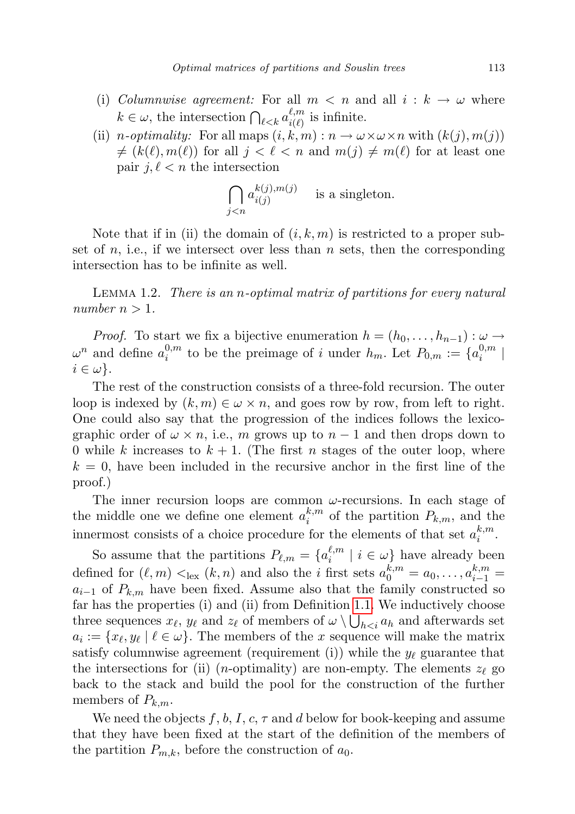- (i) Columnwise agreement: For all  $m < n$  and all  $i : k \to \omega$  where  $k \in \omega$ , the intersection  $\bigcap_{\ell < k} a_{i(\ell)}^{\ell,m}$  $\sum_{i(\ell)}^{\ell,m}$  is infinite.
- (ii) n-optimality: For all maps  $(i, k, m) : n \to \omega \times \omega \times n$  with  $(k(j), m(j))$  $f \neq (k(\ell), m(\ell))$  for all  $j < \ell < n$  and  $m(j) \neq m(\ell)$  for at least one pair  $j, \ell < n$  the intersection

$$
\bigcap_{j < n} a_{i(j)}^{k(j), m(j)} \quad \text{ is a singleton.}
$$

Note that if in (ii) the domain of  $(i, k, m)$  is restricted to a proper subset of n, i.e., if we intersect over less than  $n$  sets, then the corresponding intersection has to be infinite as well.

<span id="page-2-0"></span>Lemma 1.2. There is an n-optimal matrix of partitions for every natural number  $n > 1$ .

*Proof.* To start we fix a bijective enumeration  $h = (h_0, \ldots, h_{n-1}) : \omega \to$  $\omega^n$  and define  $a_i^{0,m}$  $i_i^{0,m}$  to be the preimage of i under  $h_m$ . Let  $P_{0,m} := \{a_i^{0,m}$  $\binom{0,m}{i}$  $i \in \omega$ .

The rest of the construction consists of a three-fold recursion. The outer loop is indexed by  $(k, m) \in \omega \times n$ , and goes row by row, from left to right. One could also say that the progression of the indices follows the lexicographic order of  $\omega \times n$ , i.e., m grows up to  $n-1$  and then drops down to 0 while k increases to  $k + 1$ . (The first n stages of the outer loop, where  $k = 0$ , have been included in the recursive anchor in the first line of the proof.)

The inner recursion loops are common  $\omega$ -recursions. In each stage of the middle one we define one element  $a_i^{k,m}$  $\binom{k,m}{i}$  of the partition  $P_{k,m}$ , and the innermost consists of a choice procedure for the elements of that set  $a_i^{k,m}$  $\frac{\kappa,m}{i}$ .

So assume that the partitions  $P_{\ell,m} = \{a_i^{\ell,m}$  $\binom{\ell,m}{i}$  |  $i \in \omega$  have already been defined for  $(\ell, m) <_{lex} (k, n)$  and also the *i* first sets  $a_0^{k,m} = a_0, \ldots, a_{i-1}^{k,m} =$  $a_{i-1}$  of  $P_{k,m}$  have been fixed. Assume also that the family constructed so far has the properties (i) and (ii) from Definition [1.1.](#page-1-0) We inductively choose three sequences  $x_{\ell}$ ,  $y_{\ell}$  and  $z_{\ell}$  of members of  $\omega \setminus \bigcup_{h < i} a_h$  and afterwards set  $a_i := \{x_\ell, y_\ell \mid \ell \in \omega\}.$  The members of the x sequence will make the matrix satisfy columnwise agreement (requirement (i)) while the  $y_\ell$  guarantee that the intersections for (ii) (*n*-optimality) are non-empty. The elements  $z_{\ell}$  go back to the stack and build the pool for the construction of the further members of  $P_{k,m}$ .

We need the objects f, b, I, c,  $\tau$  and d below for book-keeping and assume that they have been fixed at the start of the definition of the members of the partition  $P_{m,k}$ , before the construction of  $a_0$ .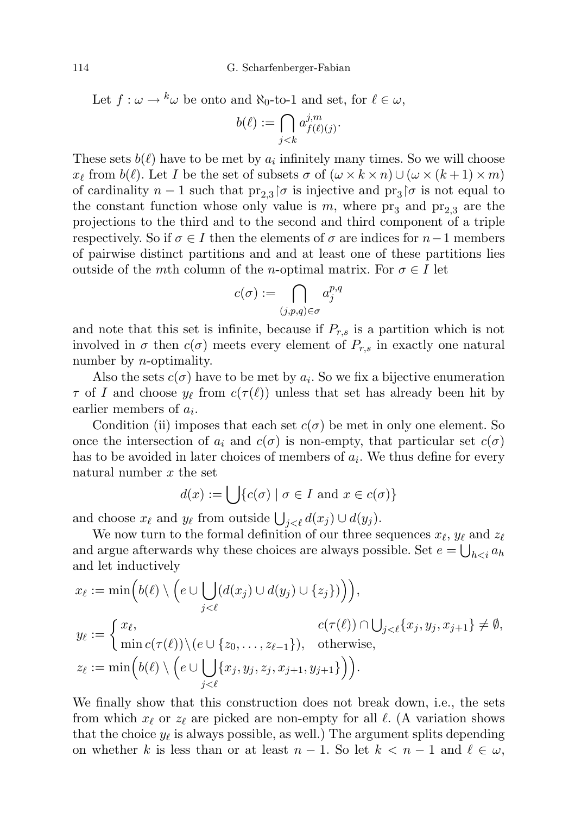Let  $f : \omega \to {^k}\omega$  be onto and  $\aleph_0$ -to-1 and set, for  $\ell \in \omega$ ,

$$
b(\ell) := \bigcap_{j < k} a_{f(\ell)(j)}^{j,m}.
$$

These sets  $b(\ell)$  have to be met by  $a_i$  infinitely many times. So we will choose  $x_{\ell}$  from  $b(\ell)$ . Let I be the set of subsets  $\sigma$  of  $(\omega \times k \times n) \cup (\omega \times (k + 1) \times m)$ of cardinality  $n-1$  such that  $\text{pr}_{2,3}$   $\sigma$  is injective and  $\text{pr}_3$   $\sigma$  is not equal to the constant function whose only value is m, where  $pr_3$  and  $pr_{2,3}$  are the projections to the third and to the second and third component of a triple respectively. So if  $\sigma \in I$  then the elements of  $\sigma$  are indices for  $n-1$  members of pairwise distinct partitions and and at least one of these partitions lies outside of the mth column of the n-optimal matrix. For  $\sigma \in I$  let

$$
c(\sigma) := \bigcap_{(j,p,q)\in\sigma} a_j^{p,q}
$$

and note that this set is infinite, because if  $P_{r,s}$  is a partition which is not involved in  $\sigma$  then  $c(\sigma)$  meets every element of  $P_{r,s}$  in exactly one natural number by *n*-optimality.

Also the sets  $c(\sigma)$  have to be met by  $a_i$ . So we fix a bijective enumeration  $\tau$  of I and choose  $y_\ell$  from  $c(\tau(\ell))$  unless that set has already been hit by earlier members of  $a_i$ .

Condition (ii) imposes that each set  $c(\sigma)$  be met in only one element. So once the intersection of  $a_i$  and  $c(\sigma)$  is non-empty, that particular set  $c(\sigma)$ has to be avoided in later choices of members of  $a_i$ . We thus define for every natural number  $x$  the set

$$
d(x) := \bigcup \{ c(\sigma) \mid \sigma \in I \text{ and } x \in c(\sigma) \}
$$

and choose  $x_{\ell}$  and  $y_{\ell}$  from outside  $\bigcup_{j<\ell} d(x_j) \cup d(y_j)$ .

We now turn to the formal definition of our three sequences  $x_{\ell}$ ,  $y_{\ell}$  and  $z_{\ell}$ and argue afterwards why these choices are always possible. Set  $e = \bigcup_{h < i} a_h$ and let inductively

$$
x_{\ell} := \min\Big(b(\ell) \setminus \Big(e \cup \bigcup_{j < \ell} (d(x_j) \cup d(y_j) \cup \{z_j\})\Big)\Big),
$$
\n
$$
y_{\ell} := \begin{cases} x_{\ell}, & c(\tau(\ell)) \cap \bigcup_{j < \ell} \{x_j, y_j, x_{j+1}\} \neq \emptyset, \\ \min c(\tau(\ell)) \setminus (e \cup \{z_0, \ldots, z_{\ell-1}\}), & \text{otherwise}, \end{cases}
$$
\n
$$
z_{\ell} := \min\Big(b(\ell) \setminus \Big(e \cup \bigcup_{j < \ell} \{x_j, y_j, z_j, x_{j+1}, y_{j+1}\}\Big)\Big).
$$

We finally show that this construction does not break down, i.e., the sets from which  $x_\ell$  or  $z_\ell$  are picked are non-empty for all  $\ell$ . (A variation shows that the choice  $y_{\ell}$  is always possible, as well.) The argument splits depending on whether k is less than or at least  $n - 1$ . So let  $k < n - 1$  and  $\ell \in \omega$ ,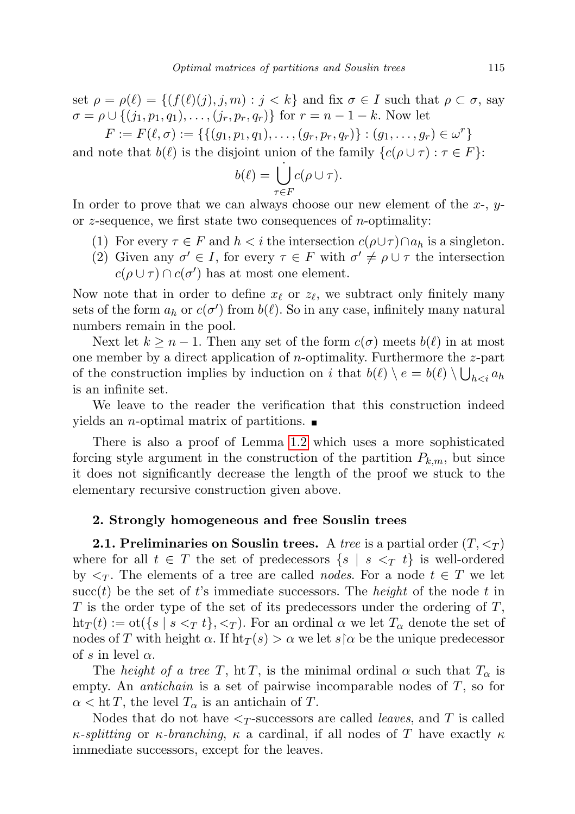set  $\rho = \rho(\ell) = \{(f(\ell)(j), j, m) : j < k\}$  and fix  $\sigma \in I$  such that  $\rho \subset \sigma$ , say  $\sigma = \rho \cup \{(j_1, p_1, q_1), \ldots, (j_r, p_r, q_r)\}\$ for  $r = n - 1 - k$ . Now let

 $F := F(\ell, \sigma) := \{ \{ (g_1, p_1, q_1), \ldots, (g_r, p_r, q_r) \} : (g_1, \ldots, g_r) \in \omega^r \}$ and note that  $b(\ell)$  is the disjoint union of the family  ${c(\rho \cup \tau) : \tau \in F}$ :

$$
b(\ell) = \bigcup_{\tau \in F}^{\cdot} c(\rho \cup \tau).
$$

In order to prove that we can always choose our new element of the  $x$ -,  $y$ or z-sequence, we first state two consequences of *n*-optimality:

- (1) For every  $\tau \in F$  and  $h < i$  the intersection  $c(\rho \cup \tau) \cap a_h$  is a singleton.
- (2) Given any  $\sigma' \in I$ , for every  $\tau \in F$  with  $\sigma' \neq \rho \cup \tau$  the intersection  $c(\rho \cup \tau) \cap c(\sigma')$  has at most one element.

Now note that in order to define  $x_{\ell}$  or  $z_{\ell}$ , we subtract only finitely many sets of the form  $a_h$  or  $c(\sigma')$  from  $b(\ell)$ . So in any case, infinitely many natural numbers remain in the pool.

Next let  $k \geq n-1$ . Then any set of the form  $c(\sigma)$  meets  $b(\ell)$  in at most one member by a direct application of *n*-optimality. Furthermore the  $z$ -part of the construction implies by induction on i that  $b(\ell) \setminus e = b(\ell) \setminus \bigcup_{h < i} a_h$ is an infinite set.

We leave to the reader the verification that this construction indeed yields an *n*-optimal matrix of partitions.  $\blacksquare$ 

There is also a proof of Lemma [1.2](#page-2-0) which uses a more sophisticated forcing style argument in the construction of the partition  $P_{k,m}$ , but since it does not significantly decrease the length of the proof we stuck to the elementary recursive construction given above.

## 2. Strongly homogeneous and free Souslin trees

**2.1. Preliminaries on Souslin trees.** A tree is a partial order  $(T, \leq_T)$ where for all  $t \in T$  the set of predecessors  $\{s \mid s \leq T t\}$  is well-ordered by  $\langle \tau \rangle$ . The elements of a tree are called *nodes*. For a node  $t \in T$  we let succ(t) be the set of t's immediate successors. The *height* of the node t in T is the order type of the set of its predecessors under the ordering of  $T$ ,  $\text{ht}_T(t) := \text{ot}(\{s \mid s \leq_T t\}, \leq_T)$ . For an ordinal  $\alpha$  we let  $T_\alpha$  denote the set of nodes of T with height  $\alpha$ . If  $\text{ht}_T(s) > \alpha$  we let  $s \upharpoonright \alpha$  be the unique predecessor of s in level  $\alpha$ .

The height of a tree T, ht T, is the minimal ordinal  $\alpha$  such that  $T_{\alpha}$  is empty. An *antichain* is a set of pairwise incomparable nodes of  $T$ , so for  $\alpha < \operatorname{ht} T$ , the level  $T_{\alpha}$  is an antichain of T.

Nodes that do not have  $\leq_T$ -successors are called *leaves*, and T is called κ-splitting or κ-branching, κ a cardinal, if all nodes of T have exactly  $\kappa$ immediate successors, except for the leaves.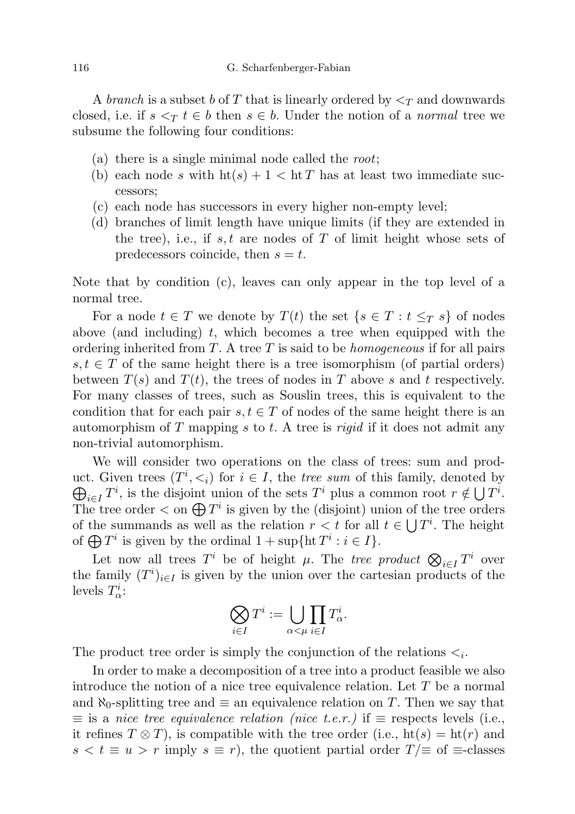A branch is a subset b of T that is linearly ordered by  $\leq_T$  and downwards closed, i.e. if  $s <_\mathcal{T} t \in b$  then  $s \in b$ . Under the notion of a normal tree we subsume the following four conditions:

- (a) there is a single minimal node called the *root*;
- (b) each node s with  $h f(s) + 1 < h f$  has at least two immediate successors;
- (c) each node has successors in every higher non-empty level;
- (d) branches of limit length have unique limits (if they are extended in the tree), i.e., if s, t are nodes of  $T$  of limit height whose sets of predecessors coincide, then  $s = t$ .

Note that by condition (c), leaves can only appear in the top level of a normal tree.

For a node  $t \in T$  we denote by  $T(t)$  the set  $\{s \in T : t \leq_T s\}$  of nodes above (and including) t, which becomes a tree when equipped with the ordering inherited from T. A tree T is said to be *homogeneous* if for all pairs  $s, t \in T$  of the same height there is a tree isomorphism (of partial orders) between  $T(s)$  and  $T(t)$ , the trees of nodes in T above s and t respectively. For many classes of trees, such as Souslin trees, this is equivalent to the condition that for each pair  $s, t \in T$  of nodes of the same height there is an automorphism of T mapping s to t. A tree is rigid if it does not admit any non-trivial automorphism.

We will consider two operations on the class of trees: sum and product. Given trees  $(T^i, \leq_i)$  for  $i \in I$ , the *tree sum* of this family, denoted by  $\bigoplus_{i\in I}T^i$ , is the disjoint union of the sets  $T^i$  plus a common root  $r \notin \bigcup T^i$ . The tree order  $\langle$  on  $\bigoplus T^i$  is given by the (disjoint) union of the tree orders of the summands as well as the relation  $r < t$  for all  $t \in \bigcup T^i$ . The height of  $\bigoplus T^i$  is given by the ordinal  $1 + \sup \{ \text{ht } T^i : i \in I \}.$ 

Let now all trees  $T^i$  be of height  $\mu$ . The tree product  $\bigotimes_{i \in I} T^i$  over the family  $(T^{i})_{i\in I}$  is given by the union over the cartesian products of the levels  $T^i_\alpha$ :

$$
\bigotimes_{i\in I} T^i:=\bigcup_{\alpha<\mu}\prod_{i\in I} T^i_{\alpha}.
$$

The product tree order is simply the conjunction of the relations  $\lt_i$ .

In order to make a decomposition of a tree into a product feasible we also introduce the notion of a nice tree equivalence relation. Let T be a normal and  $\aleph_0$ -splitting tree and  $\equiv$  an equivalence relation on T. Then we say that  $\equiv$  is a nice tree equivalence relation (nice t.e.r.) if  $\equiv$  respects levels (i.e., it refines  $T \otimes T$ , is compatible with the tree order (i.e.,  $\text{ht}(s) = \text{ht}(r)$  and  $s < t \equiv u > r$  imply  $s \equiv r$ , the quotient partial order  $T/\equiv$  of  $\equiv$ -classes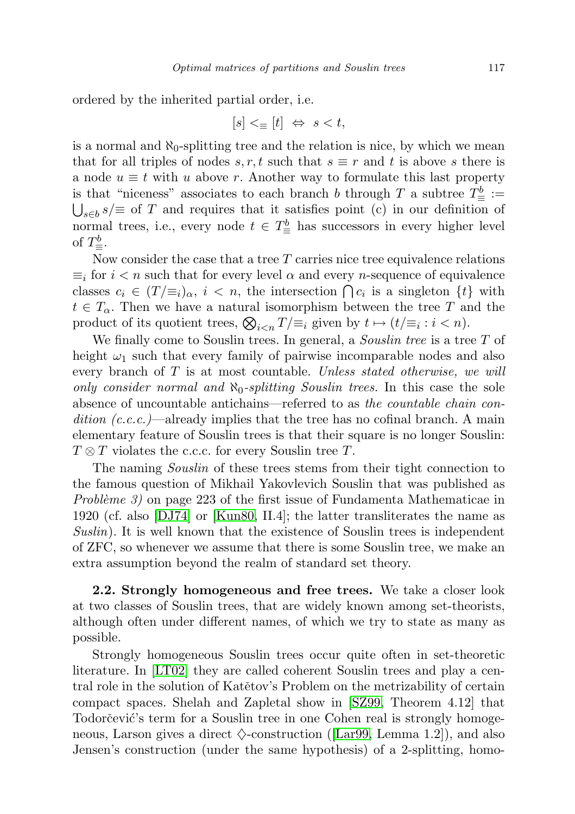ordered by the inherited partial order, i.e.

$$
[s] <_{\equiv} [t] \Leftrightarrow s < t,
$$

is a normal and  $\aleph_0$ -splitting tree and the relation is nice, by which we mean that for all triples of nodes  $s, r, t$  such that  $s \equiv r$  and t is above s there is a node  $u \equiv t$  with u above r. Another way to formulate this last property is that "niceness" associates to each branch b through T a subtree  $T^b_\equiv :=$  $\bigcup_{s\in b} s/\equiv$  of T and requires that it satisfies point (c) in our definition of normal trees, i.e., every node  $t \in T_{\equiv}^{b}$  has successors in every higher level of  $T^b_{\equiv}$ .

Now consider the case that a tree  $T$  carries nice tree equivalence relations  $\equiv_i$  for  $i < n$  such that for every level  $\alpha$  and every *n*-sequence of equivalence classes  $c_i \in (T/\equiv_i)_\alpha$ ,  $i < n$ , the intersection  $\bigcap c_i$  is a singleton  $\{t\}$  with  $t \in T_{\alpha}$ . Then we have a natural isomorphism between the tree T and the product of its quotient trees,  $\bigotimes_{i \leq n} T/\equiv_i$  given by  $t \mapsto (t/\equiv_i : i \leq n)$ .

We finally come to Souslin trees. In general, a *Souslin tree* is a tree  $T$  of height  $\omega_1$  such that every family of pairwise incomparable nodes and also every branch of  $T$  is at most countable. Unless stated otherwise, we will only consider normal and  $\aleph_0$ -splitting Souslin trees. In this case the sole absence of uncountable antichains—referred to as the countable chain condition  $(c.c.c.)$ —already implies that the tree has no cofinal branch. A main elementary feature of Souslin trees is that their square is no longer Souslin:  $T \otimes T$  violates the c.c.c. for every Souslin tree T.

The naming *Souslin* of these trees stems from their tight connection to the famous question of Mikhail Yakovlevich Souslin that was published as Problème 3) on page 223 of the first issue of Fundamenta Mathematicae in 1920 (cf. also [\[DJ74\]](#page-20-2) or [\[Kun80,](#page-20-3) II.4]; the latter transliterates the name as Suslin). It is well known that the existence of Souslin trees is independent of ZFC, so whenever we assume that there is some Souslin tree, we make an extra assumption beyond the realm of standard set theory.

<span id="page-6-0"></span>2.2. Strongly homogeneous and free trees. We take a closer look at two classes of Souslin trees, that are widely known among set-theorists, although often under different names, of which we try to state as many as possible.

Strongly homogeneous Souslin trees occur quite often in set-theoretic literature. In [\[LT02\]](#page-20-5) they are called coherent Souslin trees and play a central role in the solution of Katětov's Problem on the metrizability of certain compact spaces. Shelah and Zapletal show in [\[SZ99,](#page-20-6) Theorem 4.12] that Todorčević's term for a Souslin tree in one Cohen real is strongly homogeneous, Larson gives a direct  $\diamondsuit$ -construction ([\[Lar99,](#page-20-7) Lemma 1.2]), and also Jensen's construction (under the same hypothesis) of a 2-splitting, homo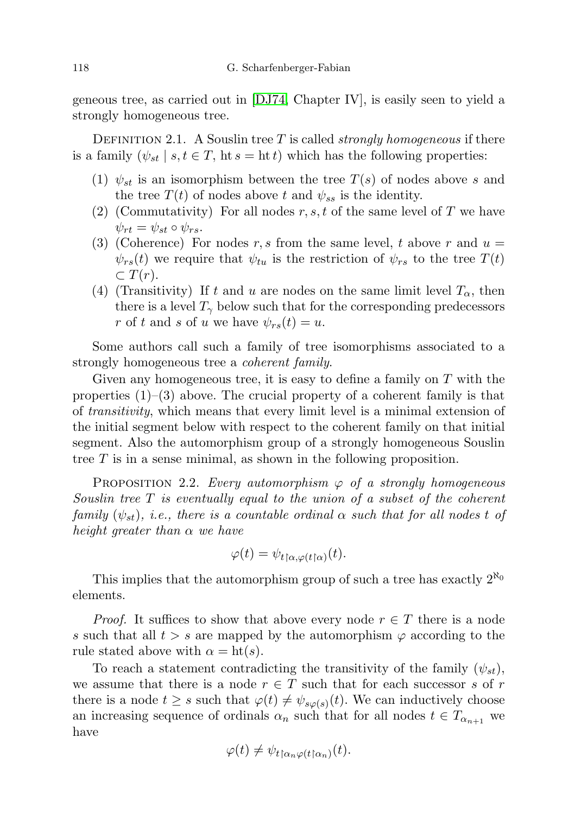geneous tree, as carried out in [\[DJ74,](#page-20-2) Chapter IV], is easily seen to yield a strongly homogeneous tree.

DEFINITION 2.1. A Souslin tree T is called *strongly homogeneous* if there is a family  $(\psi_{st} \mid s, t \in T, \text{ht } s = \text{ht } t)$  which has the following properties:

- (1)  $\psi_{st}$  is an isomorphism between the tree  $T(s)$  of nodes above s and the tree  $T(t)$  of nodes above t and  $\psi_{ss}$  is the identity.
- (2) (Commutativity) For all nodes  $r, s, t$  of the same level of T we have  $\psi_{rt} = \psi_{st} \circ \psi_{rs}.$
- (3) (Coherence) For nodes r, s from the same level, t above r and  $u =$  $\psi_{rs}(t)$  we require that  $\psi_{tu}$  is the restriction of  $\psi_{rs}$  to the tree  $T(t)$  $\subset T(r)$ .
- (4) (Transitivity) If t and u are nodes on the same limit level  $T_{\alpha}$ , then there is a level  $T_{\gamma}$  below such that for the corresponding predecessors r of t and s of u we have  $\psi_{rs}(t) = u$ .

Some authors call such a family of tree isomorphisms associated to a strongly homogeneous tree a *coherent family*.

Given any homogeneous tree, it is easy to define a family on  $T$  with the properties  $(1)$ – $(3)$  above. The crucial property of a coherent family is that of transitivity, which means that every limit level is a minimal extension of the initial segment below with respect to the coherent family on that initial segment. Also the automorphism group of a strongly homogeneous Souslin tree  $T$  is in a sense minimal, as shown in the following proposition.

<span id="page-7-0"></span>PROPOSITION 2.2. Every automorphism  $\varphi$  of a strongly homogeneous Souslin tree T is eventually equal to the union of a subset of the coherent family  $(\psi_{st})$ , i.e., there is a countable ordinal  $\alpha$  such that for all nodes t of height greater than  $\alpha$  we have

$$
\varphi(t) = \psi_{t \upharpoonright \alpha, \varphi(t \upharpoonright \alpha)}(t).
$$

This implies that the automorphism group of such a tree has exactly  $2^{\aleph_0}$ elements.

*Proof.* It suffices to show that above every node  $r \in T$  there is a node s such that all  $t > s$  are mapped by the automorphism  $\varphi$  according to the rule stated above with  $\alpha = \text{ht}(s)$ .

To reach a statement contradicting the transitivity of the family  $(\psi_{st})$ , we assume that there is a node  $r \in T$  such that for each successor s of r there is a node  $t \geq s$  such that  $\varphi(t) \neq \psi_{s\varphi(s)}(t)$ . We can inductively choose an increasing sequence of ordinals  $\alpha_n$  such that for all nodes  $t \in T_{\alpha_{n+1}}$  we have

$$
\varphi(t) \neq \psi_{t \upharpoonright \alpha_n \varphi(t \upharpoonright \alpha_n)}(t).
$$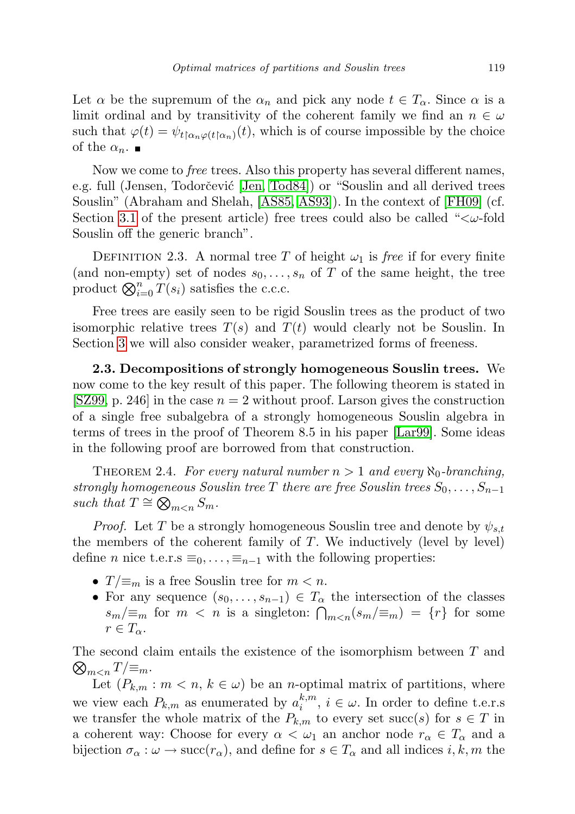Let  $\alpha$  be the supremum of the  $\alpha_n$  and pick any node  $t \in T_\alpha$ . Since  $\alpha$  is a limit ordinal and by transitivity of the coherent family we find an  $n \in \omega$ such that  $\varphi(t) = \psi_{t \upharpoonright \alpha_n \varphi(t \upharpoonright \alpha_n)}(t)$ , which is of course impossible by the choice of the  $\alpha_n$ .

Now we come to *free* trees. Also this property has several different names, e.g. full (Jensen, Todorčević [\[Jen,](#page-20-8) [Tod84\]](#page-20-9)) or "Souslin and all derived trees Souslin" (Abraham and Shelah, [\[AS85,](#page-19-0) [AS93\]](#page-19-1)). In the context of [\[FH09\]](#page-20-1) (cf. Section [3.1](#page-13-0) of the present article) free trees could also be called " $\lt \omega$ -fold Souslin off the generic branch".

DEFINITION 2.3. A normal tree T of height  $\omega_1$  is free if for every finite (and non-empty) set of nodes  $s_0, \ldots, s_n$  of T of the same height, the tree product  $\bigotimes_{i=0}^{n} T(s_i)$  satisfies the c.c.c.

Free trees are easily seen to be rigid Souslin trees as the product of two isomorphic relative trees  $T(s)$  and  $T(t)$  would clearly not be Souslin. In Section [3](#page-13-1) we will also consider weaker, parametrized forms of freeness.

2.3. Decompositions of strongly homogeneous Souslin trees. We now come to the key result of this paper. The following theorem is stated in [\[SZ99,](#page-20-6) p. 246] in the case  $n = 2$  without proof. Larson gives the construction of a single free subalgebra of a strongly homogeneous Souslin algebra in terms of trees in the proof of Theorem 8.5 in his paper [\[Lar99\]](#page-20-7). Some ideas in the following proof are borrowed from that construction.

<span id="page-8-0"></span>THEOREM 2.4. For every natural number  $n > 1$  and every  $\aleph_0$ -branching, strongly homogeneous Souslin tree T there are free Souslin trees  $S_0, \ldots, S_{n-1}$ such that  $T \cong \bigotimes_{m < n} S_m$ .

*Proof.* Let T be a strongly homogeneous Souslin tree and denote by  $\psi_{s,t}$ the members of the coherent family of  $T$ . We inductively (level by level) define *n* nice t.e.r.s  $\equiv_0, \ldots, \equiv_{n-1}$  with the following properties:

- $T/\equiv_m$  is a free Souslin tree for  $m < n$ .
- For any sequence  $(s_0, \ldots, s_{n-1}) \in T_\alpha$  the intersection of the classes  $s_m/\equiv_m$  for  $m < n$  is a singleton:  $\bigcap_{m < n} (s_m/\equiv_m) = \{r\}$  for some  $r \in T_{\alpha}$ .

 $\bigotimes_{m$ The second claim entails the existence of the isomorphism between T and

Let  $(P_{k,m}: m < n, k \in \omega)$  be an *n*-optimal matrix of partitions, where we view each  $P_{k,m}$  as enumerated by  $a_i^{k,m}$  $\zeta_i^{k,m}, i \in \omega$ . In order to define t.e.r.s we transfer the whole matrix of the  $P_{k,m}$  to every set succ(s) for  $s \in T$  in a coherent way: Choose for every  $\alpha < \omega_1$  an anchor node  $r_\alpha \in T_\alpha$  and a bijection  $\sigma_{\alpha}: \omega \to \text{succ}(r_{\alpha})$ , and define for  $s \in T_{\alpha}$  and all indices i, k, m the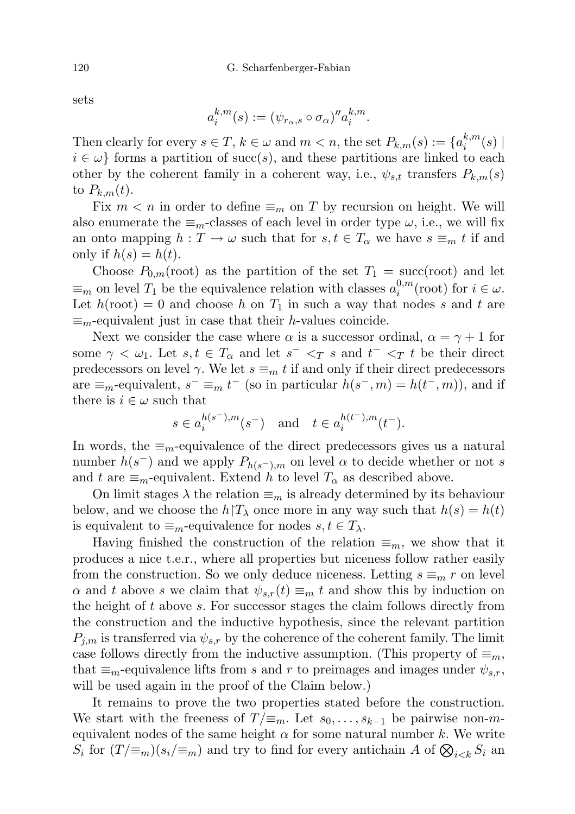$$
a_i^{k,m}(s) := (\psi_{r_\alpha,s} \circ \sigma_\alpha)'' a_i^{k,m}.
$$

Then clearly for every  $s \in T$ ,  $k \in \omega$  and  $m < n$ , the set  $P_{k,m}(s) := \{a_i^{k,m}$  $\binom{\kappa,m}{i}(s)$  |  $i \in \omega$  forms a partition of succ(s), and these partitions are linked to each other by the coherent family in a coherent way, i.e.,  $\psi_{s,t}$  transfers  $P_{k,m}(s)$ to  $P_{k,m}(t)$ .

Fix  $m < n$  in order to define  $\equiv_m$  on T by recursion on height. We will also enumerate the  $\equiv_m$ -classes of each level in order type  $\omega$ , i.e., we will fix an onto mapping  $h: T \to \omega$  such that for  $s, t \in T_\alpha$  we have  $s \equiv_m t$  if and only if  $h(s) = h(t)$ .

Choose  $P_{0,m}(\text{root})$  as the partition of the set  $T_1 = \text{succ}(\text{root})$  and let  $\equiv_m$  on level  $T_1$  be the equivalence relation with classes  $a_i^{0,m}$  $\sum_{i=1}^{n}$  (root) for  $i \in \omega$ . Let  $h(root) = 0$  and choose h on  $T_1$  in such a way that nodes s and t are  $\equiv_m$ -equivalent just in case that their *h*-values coincide.

Next we consider the case where  $\alpha$  is a successor ordinal,  $\alpha = \gamma + 1$  for some  $\gamma < \omega_1$ . Let  $s, t \in T_\alpha$  and let  $s^- < T$  s and  $t^- < T$  t be their direct predecessors on level  $\gamma$ . We let  $s \equiv_m t$  if and only if their direct predecessors are  $\equiv_m$ -equivalent,  $s^- \equiv_m t^-$  (so in particular  $h(s^-, m) = h(t^-, m)$ ), and if there is  $i \in \omega$  such that

$$
s\in a_i^{h(s^-),m}(s^-)\quad\text{and}\quad t\in a_i^{h(t^-),m}(t^-).
$$

In words, the  $\equiv_m$ -equivalence of the direct predecessors gives us a natural number  $h(s^-)$  and we apply  $P_{h(s^-),m}$  on level  $\alpha$  to decide whether or not s and t are  $\equiv_m$ -equivalent. Extend h to level  $T_\alpha$  as described above.

On limit stages  $\lambda$  the relation  $\equiv_m$  is already determined by its behaviour below, and we choose the  $h \restriction T_\lambda$  once more in any way such that  $h(s) = h(t)$ is equivalent to  $\equiv_m$ -equivalence for nodes  $s, t \in T_\lambda$ .

Having finished the construction of the relation  $\equiv_m$ , we show that it produces a nice t.e.r., where all properties but niceness follow rather easily from the construction. So we only deduce niceness. Letting  $s \equiv_m r$  on level  $\alpha$  and t above s we claim that  $\psi_{s,r}(t) \equiv_m t$  and show this by induction on the height of t above s. For successor stages the claim follows directly from the construction and the inductive hypothesis, since the relevant partition  $P_{j,m}$  is transferred via  $\psi_{s,r}$  by the coherence of the coherent family. The limit case follows directly from the inductive assumption. (This property of  $\equiv_m$ , that  $\equiv_m$ -equivalence lifts from s and r to preimages and images under  $\psi_{s,r}$ , will be used again in the proof of the Claim below.)

It remains to prove the two properties stated before the construction. We start with the freeness of  $T/\equiv_m$ . Let  $s_0, \ldots, s_{k-1}$  be pairwise non-mequivalent nodes of the same height  $\alpha$  for some natural number k. We write  $S_i$  for  $(T/\equiv_m)(s_i/\equiv_m)$  and try to find for every antichain A of  $\bigotimes_{i\leq k} S_i$  and

sets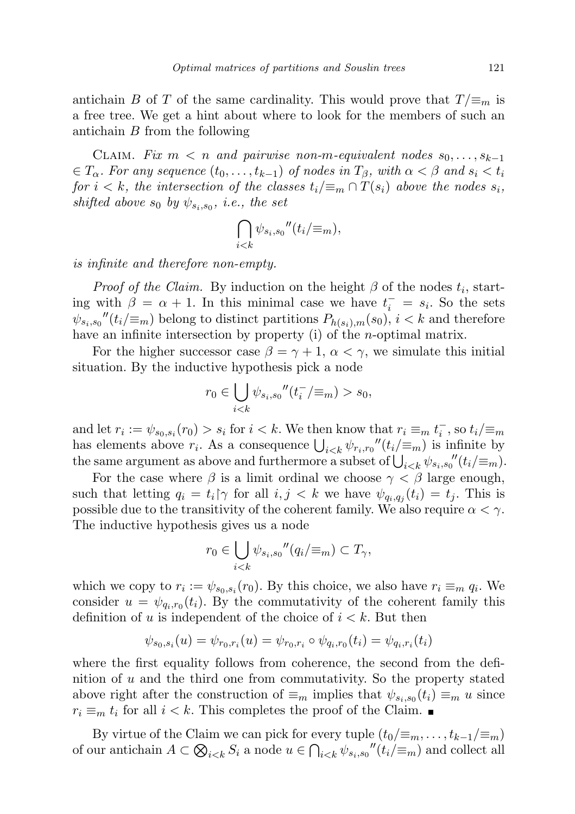antichain B of T of the same cardinality. This would prove that  $T/\equiv_m$  is a free tree. We get a hint about where to look for the members of such an antichain B from the following

CLAIM. Fix  $m < n$  and pairwise non-m-equivalent nodes  $s_0, \ldots, s_{k-1}$  $\in T_\alpha$ . For any sequence  $(t_0, \ldots, t_{k-1})$  of nodes in  $T_\beta$ , with  $\alpha < \beta$  and  $s_i < t_i$ for  $i < k$ , the intersection of the classes  $t_i/\equiv_m \cap T(s_i)$  above the nodes  $s_i$ , shifted above  $s_0$  by  $\psi_{s_i,s_0}$ , i.e., the set

$$
\bigcap_{i
$$

is infinite and therefore non-empty.

*Proof of the Claim.* By induction on the height  $\beta$  of the nodes  $t_i$ , starting with  $\beta = \alpha + 1$ . In this minimal case we have  $t_i^- = s_i$ . So the sets  $\psi_{s_i,s_0}''(t_i/\equiv_m)$  belong to distinct partitions  $P_{h(s_i),m}(s_0), i < k$  and therefore have an infinite intersection by property (i) of the *n*-optimal matrix.

For the higher successor case  $\beta = \gamma + 1$ ,  $\alpha < \gamma$ , we simulate this initial situation. By the inductive hypothesis pick a node

$$
r_0 \in \bigcup_{i < k} \psi_{s_i, s_0}''(t_i^-/\equiv_m) > s_0,
$$

and let  $r_i := \psi_{s_0, s_i}(r_0) > s_i$  for  $i < k$ . We then know that  $r_i \equiv_m t_i^{\{-\}}$ , so  $t_i / \equiv_m t_i^{\{-\}}$ has elements above  $r_i$ . As a consequence  $\bigcup_{i \leq k} \psi_{r_i,r_0}''(t_i/\equiv_m)$  is infinite by the same argument as above and furthermore a subset of  $\bigcup_{i \leq k} \psi_{s_i,s_0}''(t_i/\equiv_m)$ .

For the case where  $\beta$  is a limit ordinal we choose  $\gamma < \beta$  large enough, such that letting  $q_i = t_i \gamma$  for all  $i, j < k$  we have  $\psi_{q_i, q_j}(t_i) = t_j$ . This is possible due to the transitivity of the coherent family. We also require  $\alpha < \gamma$ . The inductive hypothesis gives us a node

$$
r_0 \in \bigcup_{i < k} \psi_{s_i, s_0}''(q_i / \equiv_m) \subset T_\gamma,
$$

which we copy to  $r_i := \psi_{s_0, s_i}(r_0)$ . By this choice, we also have  $r_i \equiv_m q_i$ . We consider  $u = \psi_{q_i,r_0}(t_i)$ . By the commutativity of the coherent family this definition of u is independent of the choice of  $i < k$ . But then

$$
\psi_{s_0,s_i}(u) = \psi_{r_0,r_i}(u) = \psi_{r_0,r_i} \circ \psi_{q_i,r_0}(t_i) = \psi_{q_i,r_i}(t_i)
$$

where the first equality follows from coherence, the second from the definition of  $u$  and the third one from commutativity. So the property stated above right after the construction of  $\equiv_m$  implies that  $\psi_{s_i,s_0}(t_i) \equiv_m u$  since  $r_i \equiv_m t_i$  for all  $i < k$ . This completes the proof of the Claim.

By virtue of the Claim we can pick for every tuple  $(t_0/\equiv_m, \ldots, t_{k-1}/\equiv_m)$ of our antichain  $A \subset \bigotimes_{i \leq k} S_i$  a node  $u \in \bigcap_{i \leq k} \psi_{s_i,s_0}''(t_i/\equiv_m)$  and collect all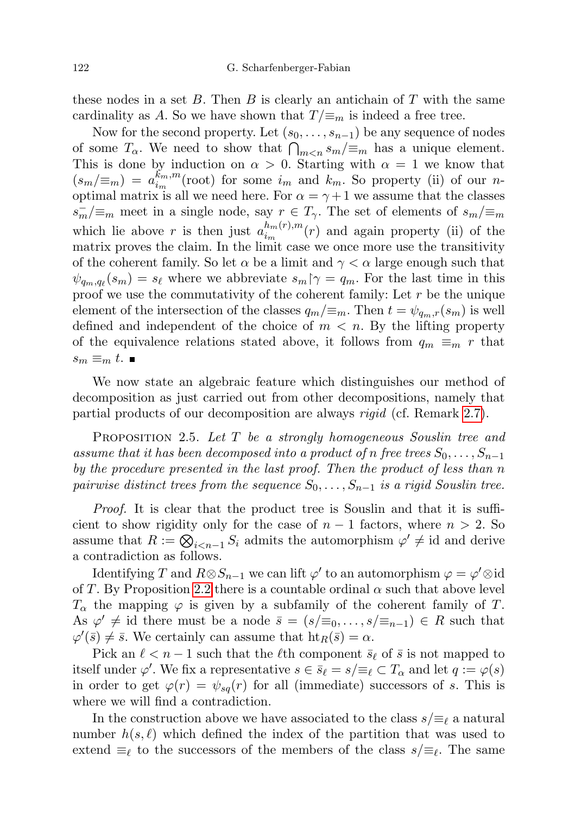these nodes in a set B. Then B is clearly an antichain of T with the same cardinality as A. So we have shown that  $T/\equiv_m$  is indeed a free tree.

Now for the second property. Let  $(s_0, \ldots, s_{n-1})$  be any sequence of nodes of some  $T_{\alpha}$ . We need to show that  $\bigcap_{m \leq n} s_m / \equiv_m$  has a unique element. This is done by induction on  $\alpha > 0$ . Starting with  $\alpha = 1$  we know that  $(s_m/\equiv_m) = a_{i_m}^{\overline{k}_m,m}$  $\binom{k_m,m}{i_m}$  (root) for some  $i_m$  and  $k_m$ . So property (ii) of our noptimal matrix is all we need here. For  $\alpha = \gamma + 1$  we assume that the classes  $s_m^-/\equiv_m$  meet in a single node, say  $r \in T_\gamma$ . The set of elements of  $s_m/\equiv_m$ which lie above r is then just  $a_{i_m}^{h_m(r),m}$  $\binom{n_m(r),m}{i_m}(r)$  and again property (ii) of the matrix proves the claim. In the limit case we once more use the transitivity of the coherent family. So let  $\alpha$  be a limit and  $\gamma < \alpha$  large enough such that  $\psi_{q_m,q_\ell}(s_m) = s_\ell$  where we abbreviate  $s_m \upharpoonright \gamma = q_m$ . For the last time in this proof we use the commutativity of the coherent family: Let  $r$  be the unique element of the intersection of the classes  $q_m/\equiv_m$ . Then  $t = \psi_{q_m,r}(s_m)$  is well defined and independent of the choice of  $m < n$ . By the lifting property of the equivalence relations stated above, it follows from  $q_m \equiv_m r$  that  $s_m \equiv_m t$ .

We now state an algebraic feature which distinguishes our method of decomposition as just carried out from other decompositions, namely that partial products of our decomposition are always *rigid* (cf. Remark [2.7\)](#page-12-0).

<span id="page-11-0"></span>PROPOSITION 2.5. Let T be a strongly homogeneous Souslin tree and assume that it has been decomposed into a product of n free trees  $S_0, \ldots, S_{n-1}$ by the procedure presented in the last proof. Then the product of less than n pairwise distinct trees from the sequence  $S_0, \ldots, S_{n-1}$  is a rigid Souslin tree.

Proof. It is clear that the product tree is Souslin and that it is sufficient to show rigidity only for the case of  $n-1$  factors, where  $n > 2$ . So assume that  $R := \bigotimes_{i \leq n-1} S_i$  admits the automorphism  $\varphi' \neq id$  and derive a contradiction as follows.

Identifying T and  $R \otimes S_{n-1}$  we can lift  $\varphi'$  to an automorphism  $\varphi = \varphi' \otimes id$ of T. By Proposition [2.2](#page-7-0) there is a countable ordinal  $\alpha$  such that above level  $T_{\alpha}$  the mapping  $\varphi$  is given by a subfamily of the coherent family of T. As  $\varphi' \neq \text{id there must be a node } \bar{s} = (s/\equiv_0, \ldots, s/\equiv_{n-1}) \in R$  such that  $\varphi'(\bar{s}) \neq \bar{s}$ . We certainly can assume that  $\text{ht}_R(\bar{s}) = \alpha$ .

Pick an  $\ell < n - 1$  such that the  $\ell$ th component  $\bar{s}_{\ell}$  of  $\bar{s}$  is not mapped to itself under  $\varphi'$ . We fix a representative  $s \in \bar{s}_{\ell} = s/\equiv_{\ell} \subset T_{\alpha}$  and let  $q := \varphi(s)$ in order to get  $\varphi(r) = \psi_{sq}(r)$  for all (immediate) successors of s. This is where we will find a contradiction.

In the construction above we have associated to the class  $s/\equiv_{\ell} s$  a natural number  $h(s, \ell)$  which defined the index of the partition that was used to extend  $\equiv_{\ell}$  to the successors of the members of the class  $s/\equiv_{\ell}$ . The same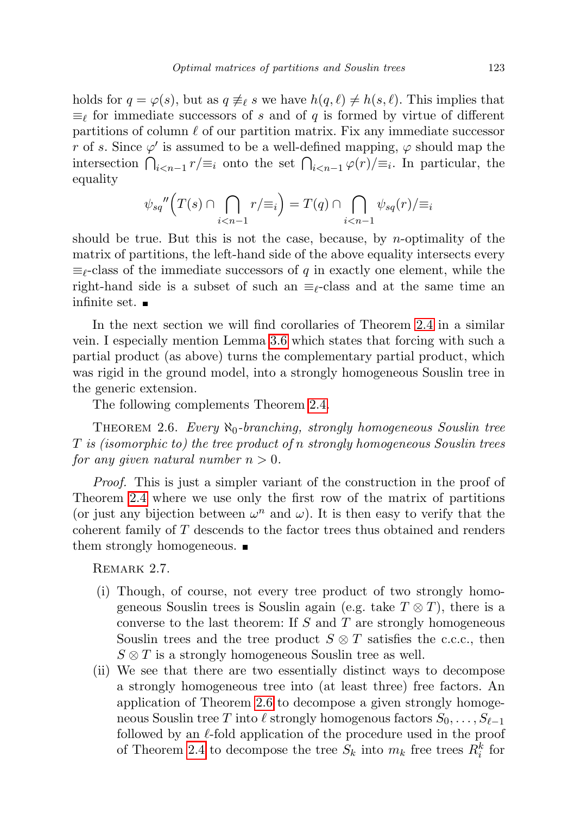holds for  $q = \varphi(s)$ , but as  $q \neq_{\ell} s$  we have  $h(q, \ell) \neq h(s, \ell)$ . This implies that  $\equiv_{\ell}$  for immediate successors of s and of q is formed by virtue of different partitions of column  $\ell$  of our partition matrix. Fix any immediate successor r of s. Since  $\varphi'$  is assumed to be a well-defined mapping,  $\varphi$  should map the intersection  $\bigcap_{i\leq n-1} r/\equiv_i$  onto the set  $\bigcap_{i\leq n-1} \varphi(r)/\equiv_i$ . In particular, the equality

$$
\psi_{sq}''\Big(T(s)\cap\bigcap_{i
$$

should be true. But this is not the case, because, by *n*-optimality of the matrix of partitions, the left-hand side of the above equality intersects every  $\equiv_{\ell}$ -class of the immediate successors of q in exactly one element, while the right-hand side is a subset of such an  $\equiv_{\ell}$ -class and at the same time an infinite set.

In the next section we will find corollaries of Theorem [2.4](#page-8-0) in a similar vein. I especially mention Lemma [3.6](#page-16-1) which states that forcing with such a partial product (as above) turns the complementary partial product, which was rigid in the ground model, into a strongly homogeneous Souslin tree in the generic extension.

The following complements Theorem [2.4.](#page-8-0)

<span id="page-12-1"></span>THEOREM 2.6. Every  $\aleph_0$ -branching, strongly homogeneous Souslin tree T is (isomorphic to) the tree product of n strongly homogeneous Souslin trees for any given natural number  $n > 0$ .

Proof. This is just a simpler variant of the construction in the proof of Theorem [2.4](#page-8-0) where we use only the first row of the matrix of partitions (or just any bijection between  $\omega^n$  and  $\omega$ ). It is then easy to verify that the coherent family of T descends to the factor trees thus obtained and renders them strongly homogeneous.  $\blacksquare$ 

<span id="page-12-0"></span>REMARK 2.7.

- (i) Though, of course, not every tree product of two strongly homogeneous Souslin trees is Souslin again (e.g. take  $T \otimes T$ ), there is a converse to the last theorem: If  $S$  and  $T$  are strongly homogeneous Souslin trees and the tree product  $S \otimes T$  satisfies the c.c.c., then  $S \otimes T$  is a strongly homogeneous Souslin tree as well.
- (ii) We see that there are two essentially distinct ways to decompose a strongly homogeneous tree into (at least three) free factors. An application of Theorem [2.6](#page-12-1) to decompose a given strongly homogeneous Souslin tree T into  $\ell$  strongly homogenous factors  $S_0, \ldots, S_{\ell-1}$ followed by an  $\ell$ -fold application of the procedure used in the proof of Theorem [2.4](#page-8-0) to decompose the tree  $S_k$  into  $m_k$  free trees  $R_i^k$  for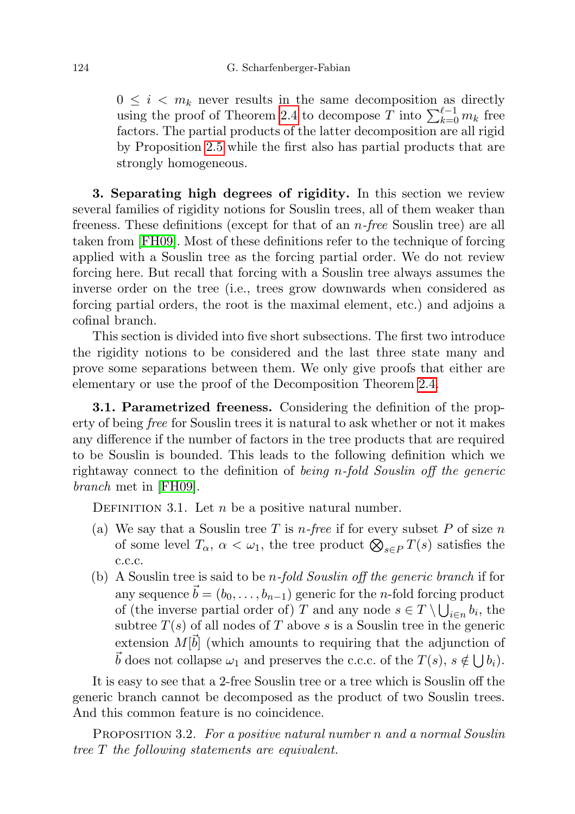$0 \leq i \leq m_k$  never results in the same decomposition as directly using the proof of Theorem [2.4](#page-8-0) to decompose T into  $\sum_{k=0}^{\ell-1} m_k$  free factors. The partial products of the latter decomposition are all rigid by Proposition [2.5](#page-11-0) while the first also has partial products that are strongly homogeneous.

<span id="page-13-1"></span>3. Separating high degrees of rigidity. In this section we review several families of rigidity notions for Souslin trees, all of them weaker than freeness. These definitions (except for that of an n-free Souslin tree) are all taken from [\[FH09\]](#page-20-1). Most of these definitions refer to the technique of forcing applied with a Souslin tree as the forcing partial order. We do not review forcing here. But recall that forcing with a Souslin tree always assumes the inverse order on the tree (i.e., trees grow downwards when considered as forcing partial orders, the root is the maximal element, etc.) and adjoins a cofinal branch.

This section is divided into five short subsections. The first two introduce the rigidity notions to be considered and the last three state many and prove some separations between them. We only give proofs that either are elementary or use the proof of the Decomposition Theorem [2.4.](#page-8-0)

<span id="page-13-0"></span>3.1. Parametrized freeness. Considering the definition of the property of being free for Souslin trees it is natural to ask whether or not it makes any difference if the number of factors in the tree products that are required to be Souslin is bounded. This leads to the following definition which we rightaway connect to the definition of being n-fold Souslin off the generic branch met in [\[FH09\]](#page-20-1).

DEFINITION 3.1. Let  $n$  be a positive natural number.

- (a) We say that a Souslin tree T is *n*-free if for every subset P of size n of some level  $T_{\alpha}$ ,  $\alpha < \omega_1$ , the tree product  $\bigotimes_{s \in P} T(s)$  satisfies the c.c.c.
- (b) A Souslin tree is said to be *n-fold Souslin off the generic branch* if for any sequence  $\vec{b} = (b_0, \ldots, b_{n-1})$  generic for the n-fold forcing product of (the inverse partial order of) T and any node  $s \in T \setminus \bigcup_{i \in n} b_i$ , the subtree  $T(s)$  of all nodes of T above s is a Souslin tree in the generic extension  $M[\vec{b}]$  (which amounts to requiring that the adjunction of  $\vec{b}$  does not collapse  $\omega_1$  and preserves the c.c.c. of the  $T(s), s \notin \bigcup b_i$ .

It is easy to see that a 2-free Souslin tree or a tree which is Souslin off the generic branch cannot be decomposed as the product of two Souslin trees. And this common feature is no coincidence.

PROPOSITION 3.2. For a positive natural number n and a normal Souslin tree T the following statements are equivalent.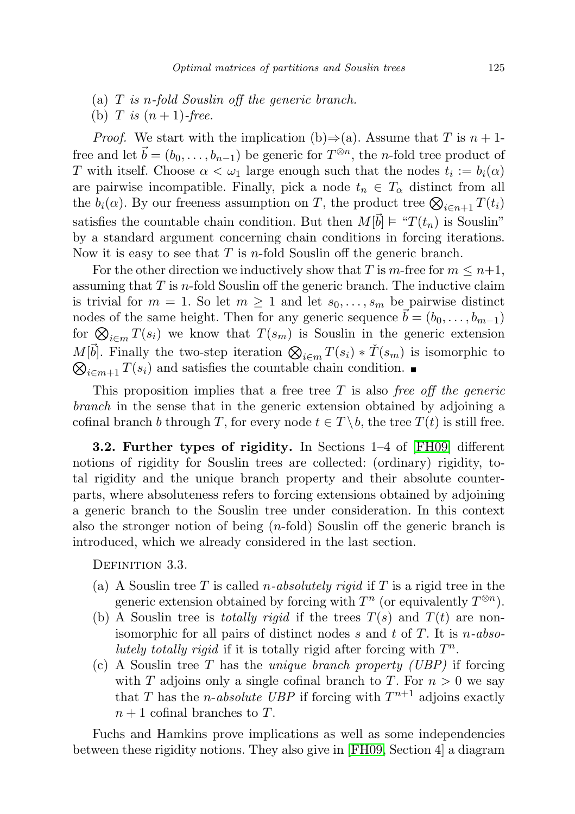- (a) T is n-fold Souslin off the generic branch.
- (b) T is  $(n+1)$ -free.

*Proof.* We start with the implication (b) $\Rightarrow$ (a). Assume that T is  $n + 1$ free and let  $\vec{b} = (b_0, \ldots, b_{n-1})$  be generic for  $T^{\otimes n}$ , the *n*-fold tree product of T with itself. Choose  $\alpha < \omega_1$  large enough such that the nodes  $t_i := b_i(\alpha)$ are pairwise incompatible. Finally, pick a node  $t_n \in T_\alpha$  distinct from all the  $b_i(\alpha)$ . By our freeness assumption on T, the product tree  $\bigotimes_{i \in n+1} T(t_i)$ satisfies the countable chain condition. But then  $M[\vec{b}] \models \text{``}T(t_n)$  is Souslin" by a standard argument concerning chain conditions in forcing iterations. Now it is easy to see that  $T$  is *n*-fold Souslin off the generic branch.

For the other direction we inductively show that T is m-free for  $m \leq n+1$ , assuming that  $T$  is *n*-fold Souslin off the generic branch. The inductive claim is trivial for  $m = 1$ . So let  $m \geq 1$  and let  $s_0, \ldots, s_m$  be pairwise distinct nodes of the same height. Then for any generic sequence  $\vec{b} = (b_0, \ldots, b_{m-1})$ for  $\bigotimes_{i\in m} T(s_i)$  we know that  $T(s_m)$  is Souslin in the generic extension  $M[\vec{b}]$ . Finally the two-step iteration  $\bigotimes_{i \in m} T(s_i) * \check{T}(s_m)$  is isomorphic to  $\bigotimes_{i \in m+1} T(s_i)$  and satisfies the countable chain condition.  $\bigotimes_{i\in m+1} T(s_i)$  and satisfies the countable chain condition.

This proposition implies that a free tree  $T$  is also free off the generic branch in the sense that in the generic extension obtained by adjoining a cofinal branch b through T, for every node  $t \in T \backslash b$ , the tree  $T(t)$  is still free.

3.2. Further types of rigidity. In Sections 1–4 of [\[FH09\]](#page-20-1) different notions of rigidity for Souslin trees are collected: (ordinary) rigidity, total rigidity and the unique branch property and their absolute counterparts, where absoluteness refers to forcing extensions obtained by adjoining a generic branch to the Souslin tree under consideration. In this context also the stronger notion of being  $(n\text{-fold})$  Souslin off the generic branch is introduced, which we already considered in the last section.

DEFINITION 3.3.

- (a) A Souslin tree T is called *n*-absolutely rigid if T is a rigid tree in the generic extension obtained by forcing with  $T^n$  (or equivalently  $T^{\otimes n}$ ).
- (b) A Souslin tree is *totally rigid* if the trees  $T(s)$  and  $T(t)$  are nonisomorphic for all pairs of distinct nodes s and t of T. It is  $n\text{-}abso$ lutely totally rigid if it is totally rigid after forcing with  $T^n$ .
- (c) A Souslin tree T has the *unique branch property (UBP)* if forcing with T adjoins only a single cofinal branch to T. For  $n > 0$  we say that T has the *n*-absolute UBP if forcing with  $T^{n+1}$  adjoins exactly  $n+1$  cofinal branches to T.

Fuchs and Hamkins prove implications as well as some independencies between these rigidity notions. They also give in [\[FH09,](#page-20-1) Section 4] a diagram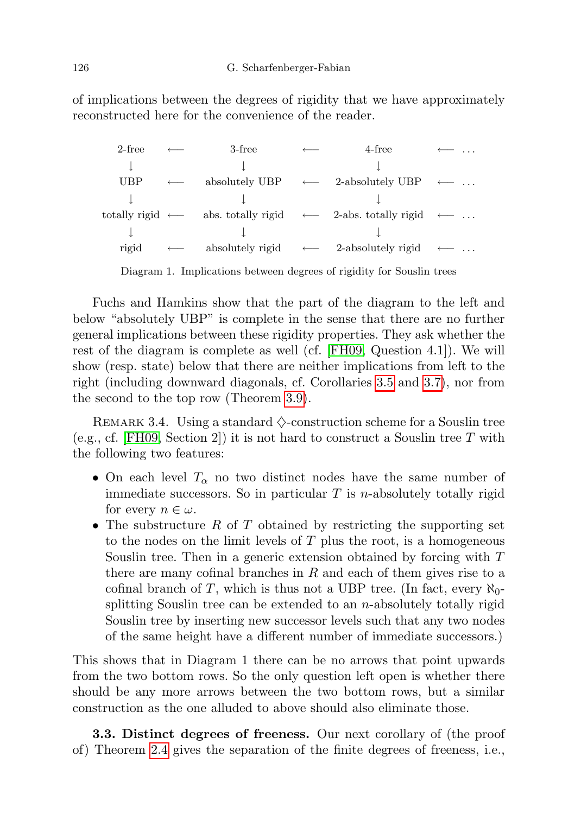of implications between the degrees of rigidity that we have approximately reconstructed here for the convenience of the reader.

| 2-free                         | 3-free | 4-free                                                            |                   |
|--------------------------------|--------|-------------------------------------------------------------------|-------------------|
|                                |        |                                                                   |                   |
| <b>UBP</b>                     |        | absolutely UBP $\leftarrow$ 2-absolutely UBP $\leftarrow$         |                   |
|                                |        |                                                                   |                   |
| totally rigid $\longleftarrow$ |        | abs. totally rigid $\leftarrow$ 2-abs. totally rigid $\leftarrow$ |                   |
|                                |        |                                                                   |                   |
| rigid                          |        | absolutely rigid $\leftarrow$ 2-absolutely rigid                  | $\longrightarrow$ |
|                                |        |                                                                   |                   |

Diagram 1. Implications between degrees of rigidity for Souslin trees

Fuchs and Hamkins show that the part of the diagram to the left and below "absolutely UBP" is complete in the sense that there are no further general implications between these rigidity properties. They ask whether the rest of the diagram is complete as well (cf. [\[FH09,](#page-20-1) Question 4.1]). We will show (resp. state) below that there are neither implications from left to the right (including downward diagonals, cf. Corollaries [3.5](#page-16-0) and [3.7\)](#page-17-0), nor from the second to the top row (Theorem [3.9\)](#page-18-0).

<span id="page-15-0"></span>REMARK 3.4. Using a standard  $\diamond$ -construction scheme for a Souslin tree (e.g., cf. [\[FH09,](#page-20-1) Section 2]) it is not hard to construct a Souslin tree T with the following two features:

- On each level  $T_{\alpha}$  no two distinct nodes have the same number of immediate successors. So in particular  $T$  is *n*-absolutely totally rigid for every  $n \in \omega$ .
- The substructure R of T obtained by restricting the supporting set to the nodes on the limit levels of  $T$  plus the root, is a homogeneous Souslin tree. Then in a generic extension obtained by forcing with T there are many cofinal branches in  $R$  and each of them gives rise to a cofinal branch of T, which is thus not a UBP tree. (In fact, every  $\aleph_0$ splitting Souslin tree can be extended to an  $n$ -absolutely totally rigid Souslin tree by inserting new successor levels such that any two nodes of the same height have a different number of immediate successors.)

This shows that in Diagram 1 there can be no arrows that point upwards from the two bottom rows. So the only question left open is whether there should be any more arrows between the two bottom rows, but a similar construction as the one alluded to above should also eliminate those.

3.3. Distinct degrees of freeness. Our next corollary of (the proof of) Theorem [2.4](#page-8-0) gives the separation of the finite degrees of freeness, i.e.,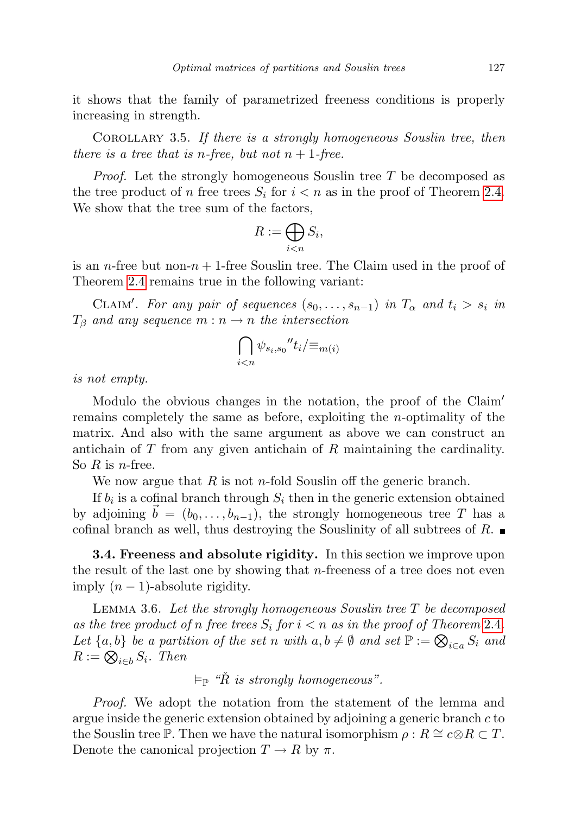it shows that the family of parametrized freeness conditions is properly increasing in strength.

<span id="page-16-0"></span>COROLLARY 3.5. If there is a strongly homogeneous Souslin tree, then there is a tree that is *n*-free, but not  $n + 1$ -free.

Proof. Let the strongly homogeneous Souslin tree T be decomposed as the tree product of n free trees  $S_i$  for  $i < n$  as in the proof of Theorem [2.4.](#page-8-0) We show that the tree sum of the factors,

$$
R:=\bigoplus_{i
$$

is an *n*-free but non- $n + 1$ -free Souslin tree. The Claim used in the proof of Theorem [2.4](#page-8-0) remains true in the following variant:

CLAIM'. For any pair of sequences  $(s_0, \ldots, s_{n-1})$  in  $T_\alpha$  and  $t_i > s_i$  in  $T_\beta$  and any sequence  $m : n \to n$  the intersection

$$
\bigcap_{i
$$

is not empty.

Modulo the obvious changes in the notation, the proof of the Claim' remains completely the same as before, exploiting the n-optimality of the matrix. And also with the same argument as above we can construct an antichain of  $T$  from any given antichain of  $R$  maintaining the cardinality. So  $R$  is *n*-free.

We now argue that  $R$  is not *n*-fold Souslin off the generic branch.

If  $b_i$  is a cofinal branch through  $S_i$  then in the generic extension obtained by adjoining  $\vec{b} = (b_0, \ldots, b_{n-1})$ , the strongly homogeneous tree T has a cofinal branch as well, thus destroying the Souslinity of all subtrees of R.

**3.4. Freeness and absolute rigidity.** In this section we improve upon the result of the last one by showing that  $n$ -freeness of a tree does not even imply  $(n - 1)$ -absolute rigidity.

<span id="page-16-1"></span>LEMMA 3.6. Let the strongly homogeneous Souslin tree  $T$  be decomposed as the tree product of n free trees  $S_i$  for  $i < n$  as in the proof of Theorem [2.4](#page-8-0). Let  $\{a, b\}$  be a partition of the set n with  $a, b \neq \emptyset$  and set  $\mathbb{P} := \bigotimes_{i \in a} S_i$  and  $R := \bigotimes_{i \in b} S_i$ . Then

 $\models_{\mathbb{P}}$  " $\check{R}$  is strongly homogeneous".

Proof. We adopt the notation from the statement of the lemma and argue inside the generic extension obtained by adjoining a generic branch  $c$  to the Souslin tree P. Then we have the natural isomorphism  $\rho : R \cong c \otimes R \subset T$ . Denote the canonical projection  $T \to R$  by  $\pi$ .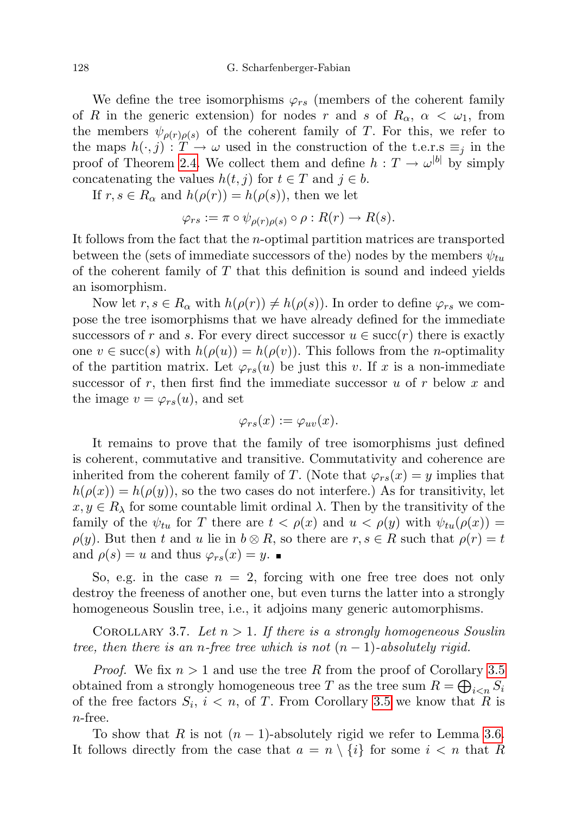We define the tree isomorphisms  $\varphi_{rs}$  (members of the coherent family of R in the generic extension) for nodes r and s of  $R_{\alpha}$ ,  $\alpha < \omega_1$ , from the members  $\psi_{\rho(r)\rho(s)}$  of the coherent family of T. For this, we refer to the maps  $h(\cdot, j) : T \to \omega$  used in the construction of the t.e.r.s  $\equiv_j$  in the proof of Theorem [2.4.](#page-8-0) We collect them and define  $h: T \to \omega^{|b|}$  by simply concatenating the values  $h(t, j)$  for  $t \in T$  and  $j \in b$ .

If  $r, s \in R_\alpha$  and  $h(\rho(r)) = h(\rho(s))$ , then we let

$$
\varphi_{rs} := \pi \circ \psi_{\rho(r)\rho(s)} \circ \rho : R(r) \to R(s).
$$

It follows from the fact that the n-optimal partition matrices are transported between the (sets of immediate successors of the) nodes by the members  $\psi_{tu}$ of the coherent family of  $T$  that this definition is sound and indeed yields an isomorphism.

Now let  $r, s \in R_\alpha$  with  $h(\rho(r)) \neq h(\rho(s))$ . In order to define  $\varphi_{rs}$  we compose the tree isomorphisms that we have already defined for the immediate successors of r and s. For every direct successor  $u \in \text{succ}(r)$  there is exactly one  $v \in \text{succ}(s)$  with  $h(\rho(u)) = h(\rho(v))$ . This follows from the *n*-optimality of the partition matrix. Let  $\varphi_{rs}(u)$  be just this v. If x is a non-immediate successor of r, then first find the immediate successor u of r below x and the image  $v = \varphi_{rs}(u)$ , and set

$$
\varphi_{rs}(x) := \varphi_{uv}(x).
$$

It remains to prove that the family of tree isomorphisms just defined is coherent, commutative and transitive. Commutativity and coherence are inherited from the coherent family of T. (Note that  $\varphi_{rs}(x) = y$  implies that  $h(\rho(x)) = h(\rho(y))$ , so the two cases do not interfere.) As for transitivity, let  $x, y \in R_\lambda$  for some countable limit ordinal  $\lambda$ . Then by the transitivity of the family of the  $\psi_{tu}$  for T there are  $t < \rho(x)$  and  $u < \rho(y)$  with  $\psi_{tu}(\rho(x)) =$  $\rho(y)$ . But then t and u lie in  $b \otimes R$ , so there are  $r, s \in R$  such that  $\rho(r) = t$ and  $\rho(s) = u$  and thus  $\varphi_{rs}(x) = y$ .

So, e.g. in the case  $n = 2$ , forcing with one free tree does not only destroy the freeness of another one, but even turns the latter into a strongly homogeneous Souslin tree, i.e., it adjoins many generic automorphisms.

<span id="page-17-0"></span>COROLLARY 3.7. Let  $n > 1$ . If there is a strongly homogeneous Souslin tree, then there is an n-free tree which is not  $(n-1)$ -absolutely rigid.

*Proof.* We fix  $n > 1$  and use the tree R from the proof of Corollary [3.5](#page-16-0) obtained from a strongly homogeneous tree T as the tree sum  $R = \bigoplus_{i \leq n} S_i$ of the free factors  $S_i$ ,  $i < n$ , of T. From Corollary [3.5](#page-16-0) we know that R is n-free.

To show that R is not  $(n-1)$ -absolutely rigid we refer to Lemma [3.6.](#page-16-1) It follows directly from the case that  $a = n \setminus \{i\}$  for some  $i < n$  that R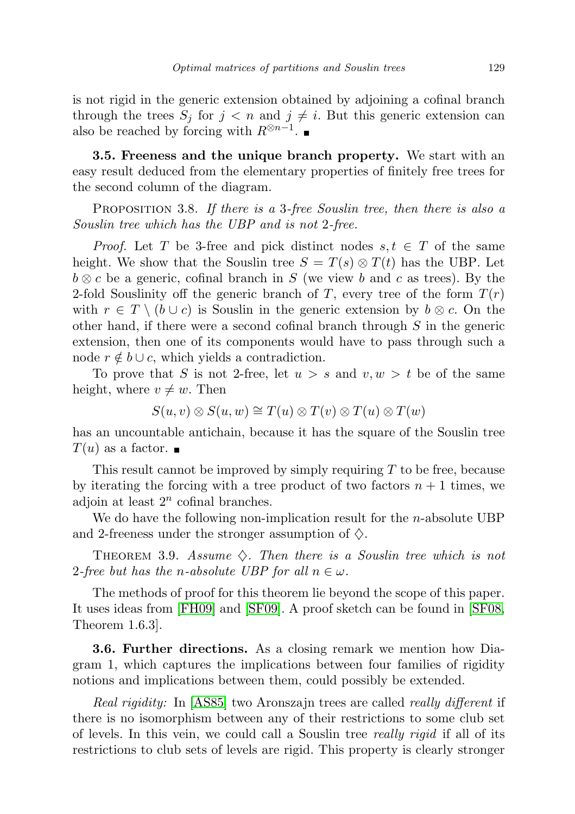is not rigid in the generic extension obtained by adjoining a cofinal branch through the trees  $S_j$  for  $j < n$  and  $j \neq i$ . But this generic extension can also be reached by forcing with  $R^{\otimes n-1}$ .

3.5. Freeness and the unique branch property. We start with an easy result deduced from the elementary properties of finitely free trees for the second column of the diagram.

PROPOSITION 3.8. If there is a 3-free Souslin tree, then there is also a Souslin tree which has the UBP and is not 2-free.

*Proof.* Let T be 3-free and pick distinct nodes  $s, t \in T$  of the same height. We show that the Souslin tree  $S = T(s) \otimes T(t)$  has the UBP. Let  $b \otimes c$  be a generic, cofinal branch in S (we view b and c as trees). By the 2-fold Souslinity off the generic branch of T, every tree of the form  $T(r)$ with  $r \in T \setminus (b \cup c)$  is Souslin in the generic extension by  $b \otimes c$ . On the other hand, if there were a second cofinal branch through  $S$  in the generic extension, then one of its components would have to pass through such a node  $r \notin b \cup c$ , which yields a contradiction.

To prove that S is not 2-free, let  $u > s$  and  $v, w > t$  be of the same height, where  $v \neq w$ . Then

$$
S(u, v) \otimes S(u, w) \cong T(u) \otimes T(v) \otimes T(u) \otimes T(w)
$$

has an uncountable antichain, because it has the square of the Souslin tree  $T(u)$  as a factor.  $\blacksquare$ 

This result cannot be improved by simply requiring  $T$  to be free, because by iterating the forcing with a tree product of two factors  $n + 1$  times, we adjoin at least  $2^n$  cofinal branches.

We do have the following non-implication result for the  $n$ -absolute UBP and 2-freeness under the stronger assumption of  $\diamondsuit$ .

<span id="page-18-0"></span>THEOREM 3.9. Assume  $\diamondsuit$ . Then there is a Souslin tree which is not 2-free but has the n-absolute UBP for all  $n \in \omega$ .

The methods of proof for this theorem lie beyond the scope of this paper. It uses ideas from [\[FH09\]](#page-20-1) and [\[SF09\]](#page-20-10). A proof sketch can be found in [\[SF08,](#page-20-0) Theorem 1.6.3].

3.6. Further directions. As a closing remark we mention how Diagram 1, which captures the implications between four families of rigidity notions and implications between them, could possibly be extended.

Real rigidity: In [\[AS85\]](#page-19-0) two Aronszajn trees are called *really different* if there is no isomorphism between any of their restrictions to some club set of levels. In this vein, we could call a Souslin tree really rigid if all of its restrictions to club sets of levels are rigid. This property is clearly stronger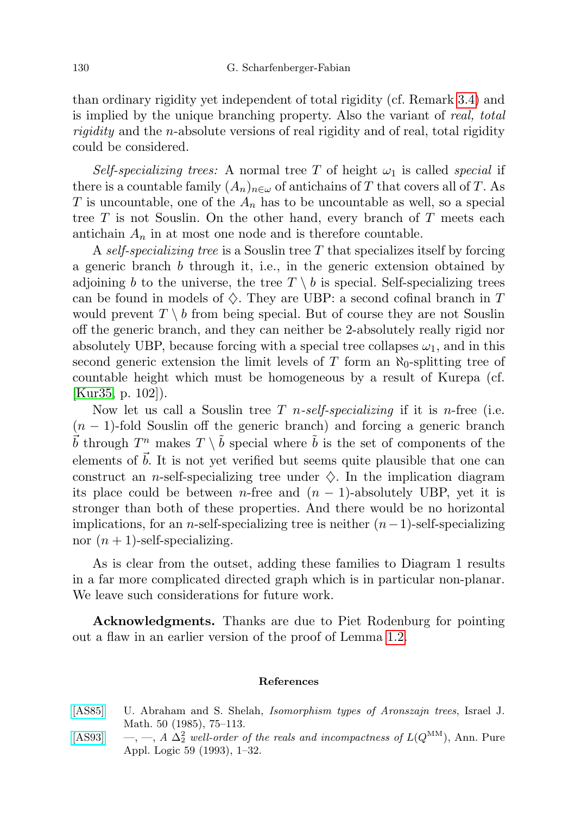than ordinary rigidity yet independent of total rigidity (cf. Remark [3.4\)](#page-15-0) and is implied by the unique branching property. Also the variant of real, total rigidity and the n-absolute versions of real rigidity and of real, total rigidity could be considered.

Self-specializing trees: A normal tree T of height  $\omega_1$  is called special if there is a countable family  $(A_n)_{n\in\omega}$  of antichains of T that covers all of T. As T is uncountable, one of the  $A_n$  has to be uncountable as well, so a special tree  $T$  is not Souslin. On the other hand, every branch of  $T$  meets each antichain  $A_n$  in at most one node and is therefore countable.

A self-specializing tree is a Souslin tree T that specializes itself by forcing a generic branch  $b$  through it, i.e., in the generic extension obtained by adjoining b to the universe, the tree  $T \setminus b$  is special. Self-specializing trees can be found in models of  $\diamondsuit$ . They are UBP: a second cofinal branch in T would prevent  $T \setminus b$  from being special. But of course they are not Souslin off the generic branch, and they can neither be 2-absolutely really rigid nor absolutely UBP, because forcing with a special tree collapses  $\omega_1$ , and in this second generic extension the limit levels of T form an  $\aleph_0$ -splitting tree of countable height which must be homogeneous by a result of Kurepa (cf. [\[Kur35,](#page-20-11) p. 102]).

Now let us call a Souslin tree T *n-self-specializing* if it is *n*-free (i.e.  $(n-1)$ -fold Souslin off the generic branch) and forcing a generic branch  $\vec{b}$  through  $T^n$  makes  $T \setminus \tilde{b}$  special where  $\tilde{b}$  is the set of components of the elements of  $\vec{b}$ . It is not yet verified but seems quite plausible that one can construct an n-self-specializing tree under  $\diamondsuit$ . In the implication diagram its place could be between n-free and  $(n - 1)$ -absolutely UBP, yet it is stronger than both of these properties. And there would be no horizontal implications, for an *n*-self-specializing tree is neither  $(n-1)$ -self-specializing nor  $(n + 1)$ -self-specializing.

As is clear from the outset, adding these families to Diagram 1 results in a far more complicated directed graph which is in particular non-planar. We leave such considerations for future work.

Acknowledgments. Thanks are due to Piet Rodenburg for pointing out a flaw in an earlier version of the proof of Lemma [1.2.](#page-2-0)

## References

- <span id="page-19-0"></span>[\[AS85\]](http://dx.doi.org/10.1007/BF02761119) U. Abraham and S. Shelah, Isomorphism types of Aronszajn trees, Israel J. Math. 50 (1985), 75–113.
- <span id="page-19-1"></span>[\[AS93\]](http://dx.doi.org/10.1016/0168-0072(93)90228-6) —, —, A  $\Delta_2^2$  well-order of the reals and incompactness of  $L(Q^{MM})$ , Ann. Pure Appl. Logic 59 (1993), 1–32.